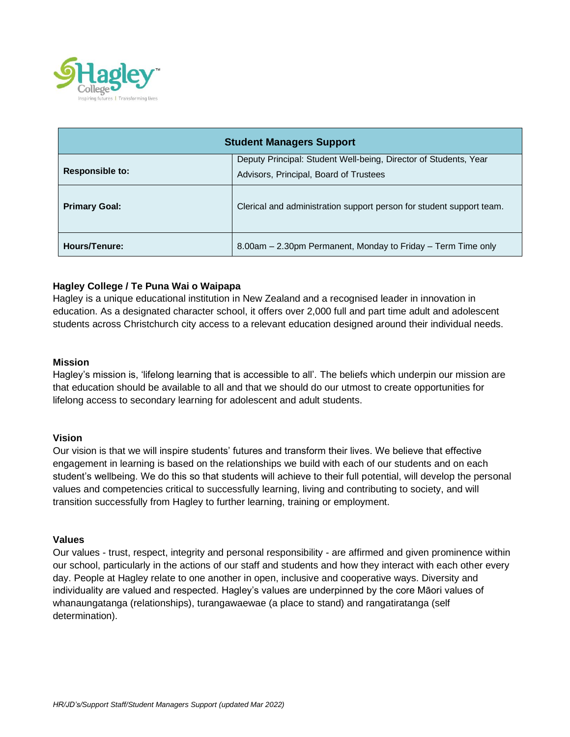

| <b>Student Managers Support</b> |                                                                                                            |
|---------------------------------|------------------------------------------------------------------------------------------------------------|
| <b>Responsible to:</b>          | Deputy Principal: Student Well-being, Director of Students, Year<br>Advisors, Principal, Board of Trustees |
| <b>Primary Goal:</b>            | Clerical and administration support person for student support team.                                       |
| Hours/Tenure:                   | 8.00am – 2.30pm Permanent, Monday to Friday – Term Time only                                               |

# **Hagley College / Te Puna Wai o Waipapa**

Hagley is a unique educational institution in New Zealand and a recognised leader in innovation in education. As a designated character school, it offers over 2,000 full and part time adult and adolescent students across Christchurch city access to a relevant education designed around their individual needs.

### **Mission**

Hagley's mission is, 'lifelong learning that is accessible to all'. The beliefs which underpin our mission are that education should be available to all and that we should do our utmost to create opportunities for lifelong access to secondary learning for adolescent and adult students.

#### **Vision**

Our vision is that we will inspire students' futures and transform their lives. We believe that effective engagement in learning is based on the relationships we build with each of our students and on each student's wellbeing. We do this so that students will achieve to their full potential, will develop the personal values and competencies critical to successfully learning, living and contributing to society, and will transition successfully from Hagley to further learning, training or employment.

### **Values**

Our values - trust, respect, integrity and personal responsibility - are affirmed and given prominence within our school, particularly in the actions of our staff and students and how they interact with each other every day. People at Hagley relate to one another in open, inclusive and cooperative ways. Diversity and individuality are valued and respected. Hagley's values are underpinned by the core Māori values of whanaungatanga (relationships), turangawaewae (a place to stand) and rangatiratanga (self determination).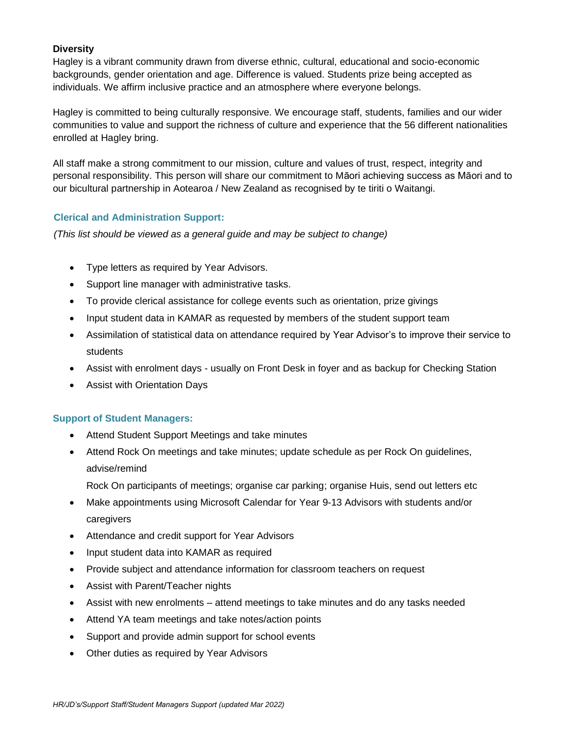# **Diversity**

Hagley is a vibrant community drawn from diverse ethnic, cultural, educational and socio-economic backgrounds, gender orientation and age. Difference is valued. Students prize being accepted as individuals. We affirm inclusive practice and an atmosphere where everyone belongs.

Hagley is committed to being culturally responsive. We encourage staff, students, families and our wider communities to value and support the richness of culture and experience that the 56 different nationalities enrolled at Hagley bring.

All staff make a strong commitment to our mission, culture and values of trust, respect, integrity and personal responsibility. This person will share our commitment to Māori achieving success as Māori and to our bicultural partnership in Aotearoa / New Zealand as recognised by te tiriti o Waitangi.

# **Clerical and Administration Support:**

*(This list should be viewed as a general guide and may be subject to change)*

- Type letters as required by Year Advisors.
- Support line manager with administrative tasks.
- To provide clerical assistance for college events such as orientation, prize givings
- Input student data in KAMAR as requested by members of the student support team
- Assimilation of statistical data on attendance required by Year Advisor's to improve their service to students
- Assist with enrolment days usually on Front Desk in foyer and as backup for Checking Station
- Assist with Orientation Days

## **Support of Student Managers:**

- Attend Student Support Meetings and take minutes
- Attend Rock On meetings and take minutes; update schedule as per Rock On guidelines, advise/remind
	- Rock On participants of meetings; organise car parking; organise Huis, send out letters etc
- Make appointments using Microsoft Calendar for Year 9-13 Advisors with students and/or caregivers
- Attendance and credit support for Year Advisors
- Input student data into KAMAR as required
- Provide subject and attendance information for classroom teachers on request
- Assist with Parent/Teacher nights
- Assist with new enrolments attend meetings to take minutes and do any tasks needed
- Attend YA team meetings and take notes/action points
- Support and provide admin support for school events
- Other duties as required by Year Advisors